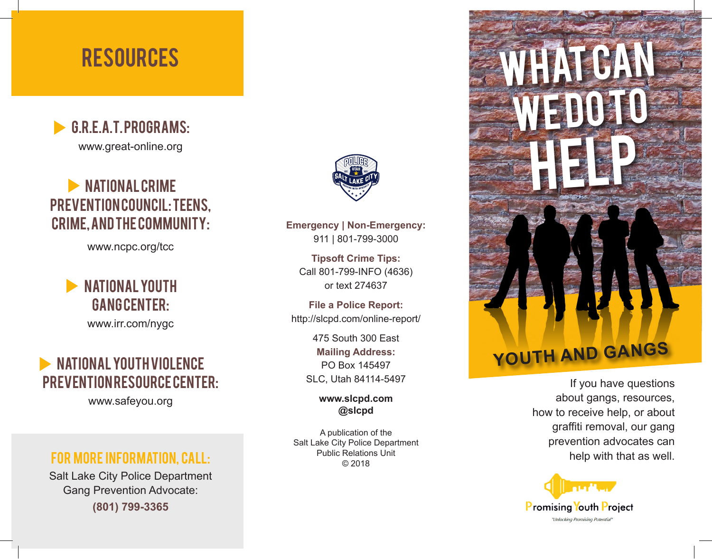# **RESOURCES**



## **NATIONAL CRIME** PREVENTION COUNCIL: TEENS, Crime, and the Community:

www.ncpc.org/tcc

## **NATIONAL YOUTH** GANG CENTER:

www.irr.com/nygc

## NATIONAL YOUTH VIOLENCE PREVENTION RESOURCE CENTER:

www.safeyou.org

#### For more information, call:

Salt Lake City Police Department Gang Prevention Advocate: **(801) 799-3365**



**Emergency | Non-Emergency:** 911 | 801-799-3000

**Tipsoft Crime Tips:** Call 801-799-INFO (4636) or text 274637

**File a Police Report:** http://slcpd.com/online-report/

> 475 South 300 East **Mailing Address:** PO Box 145497 SLC, Utah 84114-5497

> > **www.slcpd.com @slcpd**

A publication of the Salt Lake City Police Department Public Relations Unit © 2018



If you have questions about gangs, resources, how to receive help, or about graffiti removal, our gang prevention advocates can help with that as well.